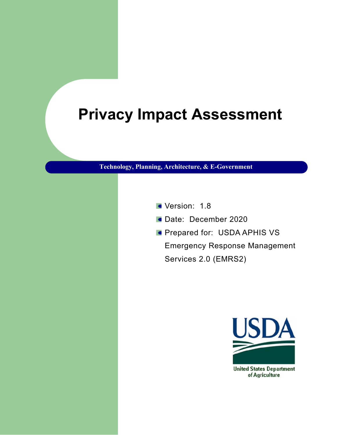# **Privacy Impact Assessment**

**Technology, Planning, Architecture, & E-Government**

- Version: 1.8
- Date: December 2020
- **Prepared for: USDA APHIS VS**

Emergency Response Management Services 2.0 (EMRS2)



of Agriculture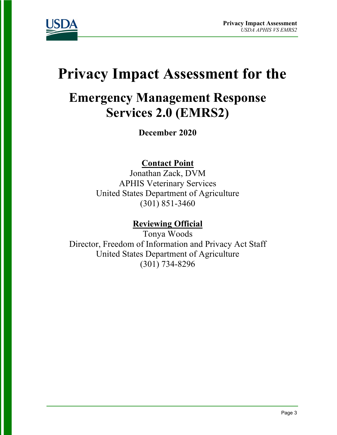

# **Privacy Impact Assessment for the**

## **Emergency Management Response Services 2.0 (EMRS2)**

**December 2020**

### **Contact Point**

Jonathan Zack, DVM APHIS Veterinary Services United States Department of Agriculture (301) 851-3460

### **Reviewing Official**

Tonya Woods Director, Freedom of Information and Privacy Act Staff United States Department of Agriculture (301) 734-8296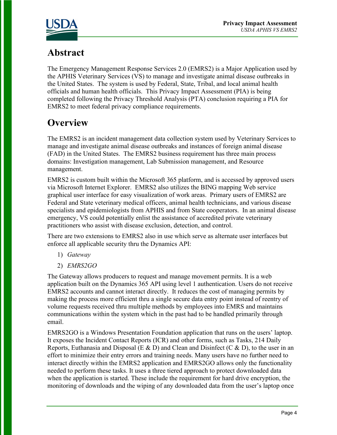

### **Abstract**

The Emergency Management Response Services 2.0 (EMRS2) is a Major Application used by the APHIS Veterinary Services (VS) to manage and investigate animal disease outbreaks in the United States. The system is used by Federal, State, Tribal, and local animal health officials and human health officials. This Privacy Impact Assessment (PIA) is being completed following the Privacy Threshold Analysis (PTA) conclusion requiring a PIA for EMRS2 to meet federal privacy compliance requirements.

### **Overview**

The EMRS2 is an incident management data collection system used by Veterinary Services to manage and investigate animal disease outbreaks and instances of foreign animal disease (FAD) in the United States. The EMRS2 business requirement has three main process domains: Investigation management, Lab Submission management, and Resource management.

EMRS2 is custom built within the Microsoft 365 platform, and is accessed by approved users via Microsoft Internet Explorer. EMRS2 also utilizes the BING mapping Web service graphical user interface for easy visualization of work areas. Primary users of EMRS2 are Federal and State veterinary medical officers, animal health technicians, and various disease specialists and epidemiologists from APHIS and from State cooperators. In an animal disease emergency, VS could potentially enlist the assistance of accredited private veterinary practitioners who assist with disease exclusion, detection, and control.

There are two extensions to EMRS2 also in use which serve as alternate user interfaces but enforce all applicable security thru the Dynamics API:

- 1) *Gateway*
- 2) *EMRS2GO*

The Gateway allows producers to request and manage movement permits. It is a web application built on the Dynamics 365 API using level 1 authentication. Users do not receive EMRS2 accounts and cannot interact directly. It reduces the cost of managing permits by making the process more efficient thru a single secure data entry point instead of reentry of volume requests received thru multiple methods by employees into EMRS and maintains communications within the system which in the past had to be handled primarily through email.

EMRS2GO is a Windows Presentation Foundation application that runs on the users' laptop. It exposes the Incident Contact Reports (ICR) and other forms, such as Tasks, 214 Daily Reports, Euthanasia and Disposal (E & D) and Clean and Disinfect (C & D), to the user in an effort to minimize their entry errors and training needs. Many users have no further need to interact directly within the EMRS2 application and EMRS2GO allows only the functionality needed to perform these tasks. It uses a three tiered approach to protect downloaded data when the application is started. These include the requirement for hard drive encryption, the monitoring of downloads and the wiping of any downloaded data from the user's laptop once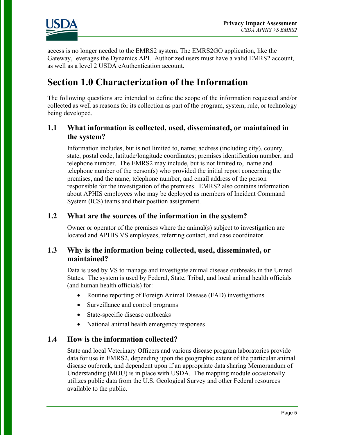

access is no longer needed to the EMRS2 system. The EMRS2GO application, like the Gateway, leverages the Dynamics API. Authorized users must have a valid EMRS2 account, as well as a level 2 USDA eAuthentication account.

### **Section 1.0 Characterization of the Information**

The following questions are intended to define the scope of the information requested and/or collected as well as reasons for its collection as part of the program, system, rule, or technology being developed.

#### **1.1 What information is collected, used, disseminated, or maintained in the system?**

Information includes, but is not limited to, name; address (including city), county, state, postal code, latitude/longitude coordinates; premises identification number; and telephone number. The EMRS2 may include, but is not limited to, name and telephone number of the person(s) who provided the initial report concerning the premises, and the name, telephone number, and email address of the person responsible for the investigation of the premises. EMRS2 also contains information about APHIS employees who may be deployed as members of Incident Command System (ICS) teams and their position assignment.

#### **1.2 What are the sources of the information in the system?**

Owner or operator of the premises where the animal(s) subject to investigation are located and APHIS VS employees, referring contact, and case coordinator.

#### **1.3 Why is the information being collected, used, disseminated, or maintained?**

Data is used by VS to manage and investigate animal disease outbreaks in the United States. The system is used by Federal, State, Tribal, and local animal health officials (and human health officials) for:

- Routine reporting of Foreign Animal Disease (FAD) investigations
- Surveillance and control programs
- State-specific disease outbreaks
- National animal health emergency responses

#### **1.4 How is the information collected?**

State and local Veterinary Officers and various disease program laboratories provide data for use in EMRS2, depending upon the geographic extent of the particular animal disease outbreak, and dependent upon if an appropriate data sharing Memorandum of Understanding (MOU) is in place with USDA. The mapping module occasionally utilizes public data from the U.S. Geological Survey and other Federal resources available to the public.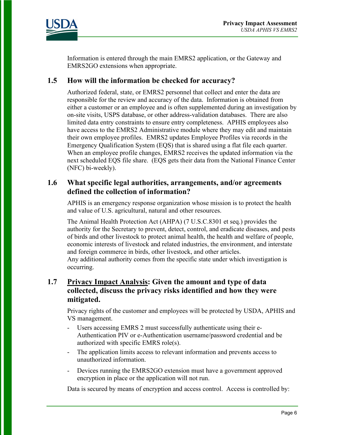

Information is entered through the main EMRS2 application, or the Gateway and EMRS2GO extensions when appropriate.

#### **1.5 How will the information be checked for accuracy?**

Authorized federal, state, or EMRS2 personnel that collect and enter the data are responsible for the review and accuracy of the data. Information is obtained from either a customer or an employee and is often supplemented during an investigation by on-site visits, USPS database, or other address-validation databases. There are also limited data entry constraints to ensure entry completeness. APHIS employees also have access to the EMRS2 Administrative module where they may edit and maintain their own employee profiles. EMRS2 updates Employee Profiles via records in the Emergency Qualification System (EQS) that is shared using a flat file each quarter. When an employee profile changes, EMRS2 receives the updated information via the next scheduled EQS file share. (EQS gets their data from the National Finance Center (NFC) bi-weekly).

#### **1.6 What specific legal authorities, arrangements, and/or agreements defined the collection of information?**

APHIS is an emergency response organization whose mission is to protect the health and value of U.S. agricultural, natural and other resources.

The Animal Health Protection Act (AHPA) (7 U.S.C.8301 et seq.) provides the authority for the Secretary to prevent, detect, control, and eradicate diseases, and pests of birds and other livestock to protect animal health, the health and welfare of people, economic interests of livestock and related industries, the environment, and interstate and foreign commerce in birds, other livestock, and other articles.

Any additional authority comes from the specific state under which investigation is occurring.

#### **1.7 Privacy Impact Analysis: Given the amount and type of data collected, discuss the privacy risks identified and how they were mitigated.**

Privacy rights of the customer and employees will be protected by USDA, APHIS and VS management.

- Users accessing EMRS 2 must successfully authenticate using their e-Authentication PIV or e-Authentication username/password credential and be authorized with specific EMRS role(s).
- The application limits access to relevant information and prevents access to unauthorized information.
- Devices running the EMRS2GO extension must have a government approved encryption in place or the application will not run.

Data is secured by means of encryption and access control. Access is controlled by: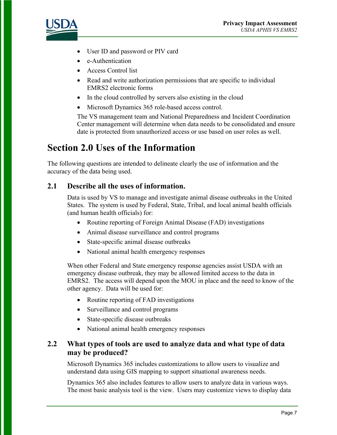

- User ID and password or PIV card
- e-Authentication
- Access Control list
- Read and write authorization permissions that are specific to individual EMRS2 electronic forms
- In the cloud controlled by servers also existing in the cloud
- Microsoft Dynamics 365 role-based access control.

The VS management team and National Preparedness and Incident Coordination Center management will determine when data needs to be consolidated and ensure date is protected from unauthorized access or use based on user roles as well.

### **Section 2.0 Uses of the Information**

The following questions are intended to delineate clearly the use of information and the accuracy of the data being used.

#### **2.1 Describe all the uses of information.**

Data is used by VS to manage and investigate animal disease outbreaks in the United States. The system is used by Federal, State, Tribal, and local animal health officials (and human health officials) for:

- Routine reporting of Foreign Animal Disease (FAD) investigations
- Animal disease surveillance and control programs
- State-specific animal disease outbreaks
- National animal health emergency responses

When other Federal and State emergency response agencies assist USDA with an emergency disease outbreak, they may be allowed limited access to the data in EMRS2. The access will depend upon the MOU in place and the need to know of the other agency. Data will be used for:

- Routine reporting of FAD investigations
- Surveillance and control programs
- State-specific disease outbreaks
- National animal health emergency responses

#### **2.2 What types of tools are used to analyze data and what type of data may be produced?**

Microsoft Dynamics 365 includes customizations to allow users to visualize and understand data using GIS mapping to support situational awareness needs.

Dynamics 365 also includes features to allow users to analyze data in various ways. The most basic analysis tool is the view. Users may customize views to display data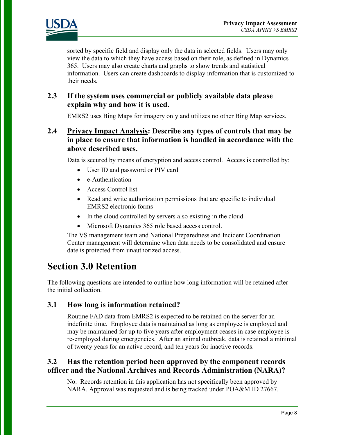

sorted by specific field and display only the data in selected fields. Users may only view the data to which they have access based on their role, as defined in Dynamics 365. Users may also create charts and graphs to show trends and statistical information. Users can create dashboards to display information that is customized to their needs.

#### **2.3 If the system uses commercial or publicly available data please explain why and how it is used.**

EMRS2 uses Bing Maps for imagery only and utilizes no other Bing Map services.

#### **2.4 Privacy Impact Analysis: Describe any types of controls that may be in place to ensure that information is handled in accordance with the above described uses.**

Data is secured by means of encryption and access control. Access is controlled by:

- User ID and password or PIV card
- e-Authentication
- Access Control list
- Read and write authorization permissions that are specific to individual EMRS2 electronic forms
- In the cloud controlled by servers also existing in the cloud
- Microsoft Dynamics 365 role based access control.

The VS management team and National Preparedness and Incident Coordination Center management will determine when data needs to be consolidated and ensure date is protected from unauthorized access.

### **Section 3.0 Retention**

The following questions are intended to outline how long information will be retained after the initial collection.

#### **3.1 How long is information retained?**

Routine FAD data from EMRS2 is expected to be retained on the server for an indefinite time. Employee data is maintained as long as employee is employed and may be maintained for up to five years after employment ceases in case employee is re-employed during emergencies. After an animal outbreak, data is retained a minimal of twenty years for an active record, and ten years for inactive records.

#### **3.2 Has the retention period been approved by the component records officer and the National Archives and Records Administration (NARA)?**

No. Records retention in this application has not specifically been approved by NARA. Approval was requested and is being tracked under POA&M ID 27667.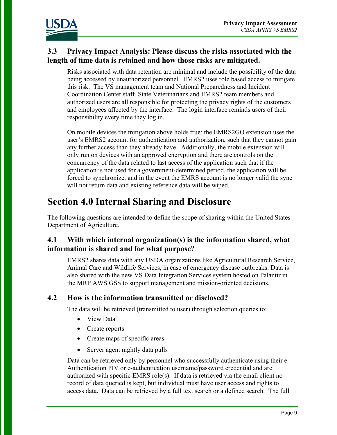

#### **3.3 Privacy Impact Analysis: Please discuss the risks associated with the length of time data is retained and how those risks are mitigated.**

Risks associated with data retention are minimal and include the possibility of the data being accessed by unauthorized personnel. EMRS2 uses role based access to mitigate this risk. The VS management team and National Preparedness and Incident Coordination Center staff, State Veterinarians and EMRS2 team members and authorized users are all responsible for protecting the privacy rights of the customers and employees affected by the interface. The login interface reminds users of their responsibility every time they log in.

On mobile devices the mitigation above holds true: the EMRS2GO extension uses the user's EMRS2 account for authentication and authorization, such that they cannot gain any further access than they already have. Additionally, the mobile extension will only run on devices with an approved encryption and there are controls on the concurrency of the data related to last access of the application such that if the application is not used for a government-determined period, the application will be forced to synchronize, and in the event the EMRS account is no longer valid the sync will not return data and existing reference data will be wiped.

### **Section 4.0 Internal Sharing and Disclosure**

The following questions are intended to define the scope of sharing within the United States Department of Agriculture.

#### **4.1 With which internal organization(s) is the information shared, what information is shared and for what purpose?**

EMRS2 shares data with any USDA organizations like Agricultural Research Service, Animal Care and Wildlife Services, in case of emergency disease outbreaks. Data is also shared with the new VS Data Integration Services system hosted on Palantir in the MRP AWS GSS to support management and mission-oriented decisions.

#### **4.2 How is the information transmitted or disclosed?**

The data will be retrieved (transmitted to user) through selection queries to:

- View Data
- Create reports
- Create maps of specific areas
- Server agent nightly data pulls

Data can be retrieved only by personnel who successfully authenticate using their e-Authentication PIV or e-authentication username/password credential and are authorized with specific EMRS role(s). If data is retrieved via the email client no record of data queried is kept, but individual must have user access and rights to access data. Data can be retrieved by a full text search or a defined search. The full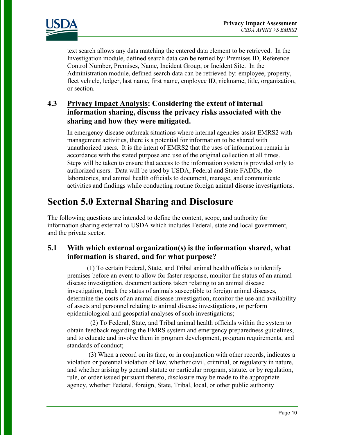

text search allows any data matching the entered data element to be retrieved. In the Investigation module, defined search data can be retried by: Premises ID, Reference Control Number, Premises, Name, Incident Group, or Incident Site. In the Administration module, defined search data can be retrieved by: employee, property, fleet vehicle, ledger, last name, first name, employee ID, nickname, title, organization, or section.

#### **4.3 Privacy Impact Analysis: Considering the extent of internal information sharing, discuss the privacy risks associated with the sharing and how they were mitigated.**

In emergency disease outbreak situations where internal agencies assist EMRS2 with management activities, there is a potential for information to be shared with unauthorized users. It is the intent of EMRS2 that the uses of information remain in accordance with the stated purpose and use of the original collection at all times. Steps will be taken to ensure that access to the information system is provided only to authorized users. Data will be used by USDA, Federal and State FADDs, the laboratories, and animal health officials to document, manage, and communicate activities and findings while conducting routine foreign animal disease investigations.

### **Section 5.0 External Sharing and Disclosure**

The following questions are intended to define the content, scope, and authority for information sharing external to USDA which includes Federal, state and local government, and the private sector.

#### **5.1 With which external organization(s) is the information shared, what information is shared, and for what purpose?**

(1) To certain Federal, State, and Tribal animal health officials to identify premises before an event to allow for faster response, monitor the status of an animal disease investigation, document actions taken relating to an animal disease investigation, track the status of animals susceptible to foreign animal diseases, determine the costs of an animal disease investigation, monitor the use and availability of assets and personnel relating to animal disease investigations, or perform epidemiological and geospatial analyses of such investigations;

 (2) To Federal, State, and Tribal animal health officials within the system to obtain feedback regarding the EMRS system and emergency preparedness guidelines, and to educate and involve them in program development, program requirements, and standards of conduct;

 (3) When a record on its face, or in conjunction with other records, indicates a violation or potential violation of law, whether civil, criminal, or regulatory in nature, and whether arising by general statute or particular program, statute, or by regulation, rule, or order issued pursuant thereto, disclosure may be made to the appropriate agency, whether Federal, foreign, State, Tribal, local, or other public authority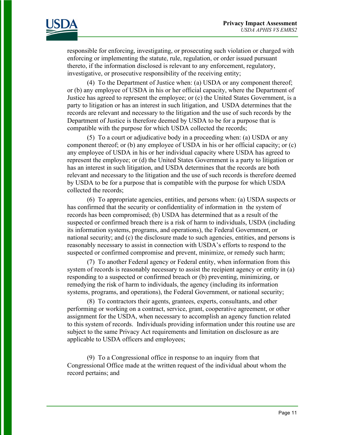

responsible for enforcing, investigating, or prosecuting such violation or charged with enforcing or implementing the statute, rule, regulation, or order issued pursuant thereto, if the information disclosed is relevant to any enforcement, regulatory, investigative, or prosecutive responsibility of the receiving entity;

(4) To the Department of Justice when: (a) USDA or any component thereof; or (b) any employee of USDA in his or her official capacity, where the Department of Justice has agreed to represent the employee; or (c) the United States Government, is a party to litigation or has an interest in such litigation, and USDA determines that the records are relevant and necessary to the litigation and the use of such records by the Department of Justice is therefore deemed by USDA to be for a purpose that is compatible with the purpose for which USDA collected the records;

(5) To a court or adjudicative body in a proceeding when: (a) USDA or any component thereof; or (b) any employee of USDA in his or her official capacity; or (c) any employee of USDA in his or her individual capacity where USDA has agreed to represent the employee; or (d) the United States Government is a party to litigation or has an interest in such litigation, and USDA determines that the records are both relevant and necessary to the litigation and the use of such records is therefore deemed by USDA to be for a purpose that is compatible with the purpose for which USDA collected the records;

(6) To appropriate agencies, entities, and persons when: (a) USDA suspects or has confirmed that the security or confidentiality of information in the system of records has been compromised; (b) USDA has determined that as a result of the suspected or confirmed breach there is a risk of harm to individuals, USDA (including its information systems, programs, and operations), the Federal Government, or national security; and (c) the disclosure made to such agencies, entities, and persons is reasonably necessary to assist in connection with USDA's efforts to respond to the suspected or confirmed compromise and prevent, minimize, or remedy such harm;

(7) To another Federal agency or Federal entity, when information from this system of records is reasonably necessary to assist the recipient agency or entity in (a) responding to a suspected or confirmed breach or (b) preventing, minimizing, or remedying the risk of harm to individuals, the agency (including its information systems, programs, and operations), the Federal Government, or national security;

(8) To contractors their agents, grantees, experts, consultants, and other performing or working on a contract, service, grant, cooperative agreement, or other assignment for the USDA, when necessary to accomplish an agency function related to this system of records. Individuals providing information under this routine use are subject to the same Privacy Act requirements and limitation on disclosure as are applicable to USDA officers and employees;

(9) To a Congressional office in response to an inquiry from that Congressional Office made at the written request of the individual about whom the record pertains; and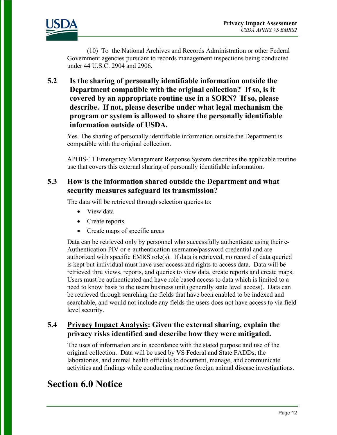

(10) To the National Archives and Records Administration or other Federal Government agencies pursuant to records management inspections being conducted under 44 U.S.C. 2904 and 2906.

**5.2 Is the sharing of personally identifiable information outside the Department compatible with the original collection? If so, is it covered by an appropriate routine use in a SORN? If so, please describe. If not, please describe under what legal mechanism the program or system is allowed to share the personally identifiable information outside of USDA.**

Yes. The sharing of personally identifiable information outside the Department is compatible with the original collection.

APHIS-11 Emergency Management Response System describes the applicable routine use that covers this external sharing of personally identifiable information.

#### **5.3 How is the information shared outside the Department and what security measures safeguard its transmission?**

The data will be retrieved through selection queries to:

- View data
- Create reports
- Create maps of specific areas

Data can be retrieved only by personnel who successfully authenticate using their e-Authentication PIV or e-authentication username/password credential and are authorized with specific EMRS role(s). If data is retrieved, no record of data queried is kept but individual must have user access and rights to access data. Data will be retrieved thru views, reports, and queries to view data, create reports and create maps. Users must be authenticated and have role based access to data which is limited to a need to know basis to the users business unit (generally state level access). Data can be retrieved through searching the fields that have been enabled to be indexed and searchable, and would not include any fields the users does not have access to via field level security.

#### **5.4 Privacy Impact Analysis: Given the external sharing, explain the privacy risks identified and describe how they were mitigated.**

The uses of information are in accordance with the stated purpose and use of the original collection. Data will be used by VS Federal and State FADDs, the laboratories, and animal health officials to document, manage, and communicate activities and findings while conducting routine foreign animal disease investigations.

### **Section 6.0 Notice**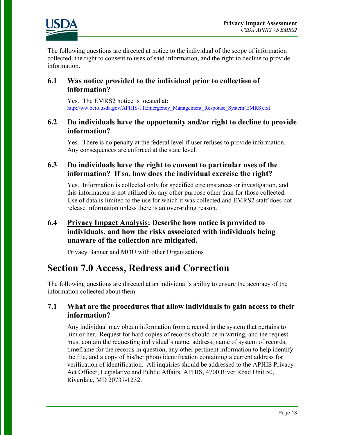

The following questions are directed at notice to the individual of the scope of information collected, the right to consent to uses of said information, and the right to decline to provide information.

#### **6.1 Was notice provided to the individual prior to collection of information?**

Yes. The EMRS2 notice is located at: [http://ww.ocio.usda.gov/APHIS-11Emergency\\_Management\\_Response\\_System\(EMRS\).txt](http://ww.ocio.usda.gov/APHIS-11Emergency_Management_Response_System(EMRS).txt)

#### **6.2 Do individuals have the opportunity and/or right to decline to provide information?**

Yes. There is no penalty at the federal level if user refuses to provide information. Any consequences are enforced at the state level.

#### **6.3 Do individuals have the right to consent to particular uses of the information? If so, how does the individual exercise the right?**

Yes. Information is collected only for specified circumstances or investigation, and this information is not utilized for any other purpose other than for those collected. Use of data is limited to the use for which it was collected and EMRS2 staff does not release information unless there is an over-riding reason.

#### **6.4 Privacy Impact Analysis: Describe how notice is provided to individuals, and how the risks associated with individuals being unaware of the collection are mitigated.**

Privacy Banner and MOU with other Organizations

### **Section 7.0 Access, Redress and Correction**

The following questions are directed at an individual's ability to ensure the accuracy of the information collected about them.

#### **7.1 What are the procedures that allow individuals to gain access to their information?**

Any individual may obtain information from a record in the system that pertains to him or her. Request for hard copies of records should be in writing, and the request must contain the requesting individual's name, address, name of system of records, timeframe for the records in question, any other pertinent information to help identify the file, and a copy of his/her photo identification containing a current address for verification of identification. All inquiries should be addressed to the APHIS Privacy Act Officer, Legislative and Public Affairs, APHIS, 4700 River Road Unit 50, Riverdale, MD 20737-1232.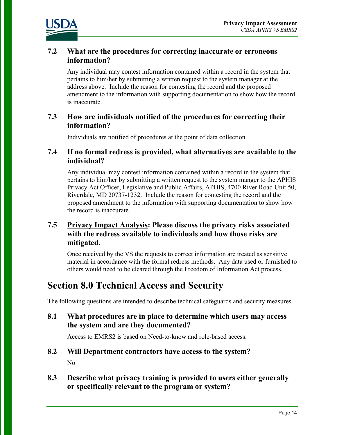

#### **7.2 What are the procedures for correcting inaccurate or erroneous information?**

Any individual may contest information contained within a record in the system that pertains to him/her by submitting a written request to the system manager at the address above. Include the reason for contesting the record and the proposed amendment to the information with supporting documentation to show how the record is inaccurate.

#### **7.3 How are individuals notified of the procedures for correcting their information?**

Individuals are notified of procedures at the point of data collection.

#### **7.4 If no formal redress is provided, what alternatives are available to the individual?**

Any individual may contest information contained within a record in the system that pertains to him/her by submitting a written request to the system manger to the APHIS Privacy Act Officer, Legislative and Public Affairs, APHIS, 4700 River Road Unit 50, Riverdale, MD 20737-1232. Include the reason for contesting the record and the proposed amendment to the information with supporting documentation to show how the record is inaccurate.

#### **7.5 Privacy Impact Analysis: Please discuss the privacy risks associated with the redress available to individuals and how those risks are mitigated.**

Once received by the VS the requests to correct information are treated as sensitive material in accordance with the formal redress methods. Any data used or furnished to others would need to be cleared through the Freedom of Information Act process.

### **Section 8.0 Technical Access and Security**

The following questions are intended to describe technical safeguards and security measures.

**8.1 What procedures are in place to determine which users may access the system and are they documented?** 

Access to EMRS2 is based on Need-to-know and role-based access.

#### **8.2 Will Department contractors have access to the system?**

No

**8.3 Describe what privacy training is provided to users either generally or specifically relevant to the program or system?**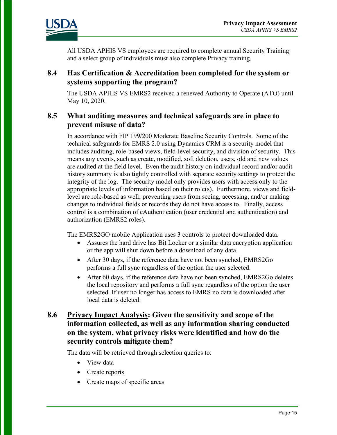

All USDA APHIS VS employees are required to complete annual Security Training and a select group of individuals must also complete Privacy training.

#### **8.4 Has Certification & Accreditation been completed for the system or systems supporting the program?**

The USDA APHIS VS EMRS2 received a renewed Authority to Operate (ATO) until May 10, 2020.

#### **8.5 What auditing measures and technical safeguards are in place to prevent misuse of data?**

In accordance with FIP 199/200 Moderate Baseline Security Controls. Some of the technical safeguards for EMRS 2.0 using Dynamics CRM is a security model that includes auditing, role-based views, field-level security, and division of security. This means any events, such as create, modified, soft deletion, users, old and new values are audited at the field level. Even the audit history on individual record and/or audit history summary is also tightly controlled with separate security settings to protect the integrity of the log. The security model only provides users with access only to the appropriate levels of information based on their role(s). Furthermore, views and fieldlevel are role-based as well; preventing users from seeing, accessing, and/or making changes to individual fields or records they do not have access to. Finally, access control is a combination of eAuthentication (user credential and authentication) and authorization (EMRS2 roles).

The EMRS2GO mobile Application uses 3 controls to protect downloaded data.

- Assures the hard drive has Bit Locker or a similar data encryption application or the app will shut down before a download of any data.
- After 30 days, if the reference data have not been synched, EMRS2Go performs a full sync regardless of the option the user selected.
- After 60 days, if the reference data have not been synched, EMRS2Go deletes the local repository and performs a full sync regardless of the option the user selected. If user no longer has access to EMRS no data is downloaded after local data is deleted.

#### **8.6 Privacy Impact Analysis: Given the sensitivity and scope of the information collected, as well as any information sharing conducted on the system, what privacy risks were identified and how do the security controls mitigate them?**

The data will be retrieved through selection queries to:

- View data
- Create reports
- Create maps of specific areas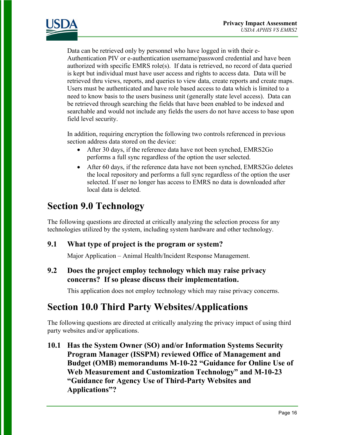

Data can be retrieved only by personnel who have logged in with their e-Authentication PIV or e-authentication username/password credential and have been authorized with specific EMRS role(s). If data is retrieved, no record of data queried is kept but individual must have user access and rights to access data. Data will be retrieved thru views, reports, and queries to view data, create reports and create maps. Users must be authenticated and have role based access to data which is limited to a need to know basis to the users business unit (generally state level access). Data can be retrieved through searching the fields that have been enabled to be indexed and searchable and would not include any fields the users do not have access to base upon field level security.

In addition, requiring encryption the following two controls referenced in previous section address data stored on the device:

- After 30 days, if the reference data have not been synched, EMRS2Go performs a full sync regardless of the option the user selected.
- After 60 days, if the reference data have not been synched, EMRS2Go deletes the local repository and performs a full sync regardless of the option the user selected. If user no longer has access to EMRS no data is downloaded after local data is deleted.

### **Section 9.0 Technology**

The following questions are directed at critically analyzing the selection process for any technologies utilized by the system, including system hardware and other technology.

#### **9.1 What type of project is the program or system?**

Major Application – Animal Health/Incident Response Management.

#### **9.2 Does the project employ technology which may raise privacy concerns? If so please discuss their implementation.**

This application does not employ technology which may raise privacy concerns.

### **Section 10.0 Third Party Websites/Applications**

The following questions are directed at critically analyzing the privacy impact of using third party websites and/or applications.

**10.1 Has the System Owner (SO) and/or Information Systems Security Program Manager (ISSPM) reviewed Office of Management and Budget (OMB) memorandums M-10-22 "Guidance for Online Use of Web Measurement and Customization Technology" and M-10-23 "Guidance for Agency Use of Third-Party Websites and Applications"?**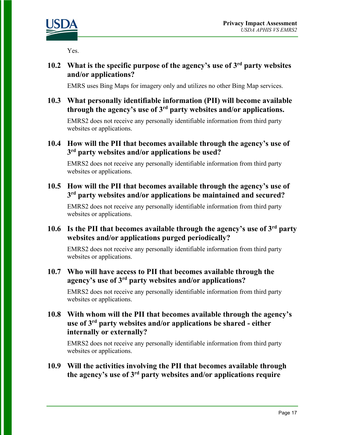

Yes.

#### **10.2 What is the specific purpose of the agency's use of 3rd party websites and/or applications?**

EMRS uses Bing Maps for imagery only and utilizes no other Bing Map services.

#### **10.3 What personally identifiable information (PII) will become available through the agency's use of 3rd party websites and/or applications.**

EMRS2 does not receive any personally identifiable information from third party websites or applications.

#### **10.4 How will the PII that becomes available through the agency's use of 3rd party websites and/or applications be used?**

EMRS2 does not receive any personally identifiable information from third party websites or applications.

#### **10.5 How will the PII that becomes available through the agency's use of 3rd party websites and/or applications be maintained and secured?**

EMRS2 does not receive any personally identifiable information from third party websites or applications.

#### **10.6 Is the PII that becomes available through the agency's use of 3rd party websites and/or applications purged periodically?**

EMRS2 does not receive any personally identifiable information from third party websites or applications.

#### **10.7 Who will have access to PII that becomes available through the agency's use of 3rd party websites and/or applications?**

EMRS2 does not receive any personally identifiable information from third party websites or applications.

#### **10.8 With whom will the PII that becomes available through the agency's use of 3rd party websites and/or applications be shared - either internally or externally?**

EMRS2 does not receive any personally identifiable information from third party websites or applications.

#### **10.9 Will the activities involving the PII that becomes available through the agency's use of 3rd party websites and/or applications require**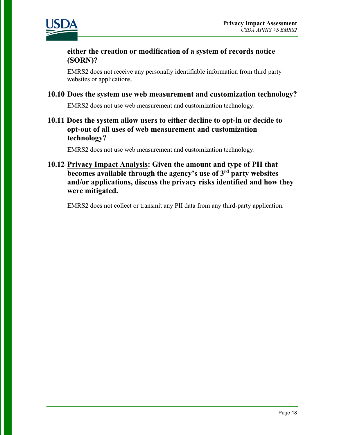

#### **either the creation or modification of a system of records notice (SORN)?**

EMRS2 does not receive any personally identifiable information from third party websites or applications.

#### **10.10 Does the system use web measurement and customization technology?**

EMRS2 does not use web measurement and customization technology.

#### **10.11 Does the system allow users to either decline to opt-in or decide to opt-out of all uses of web measurement and customization technology?**

EMRS2 does not use web measurement and customization technology.

#### **10.12 Privacy Impact Analysis: Given the amount and type of PII that becomes available through the agency's use of 3rd party websites and/or applications, discuss the privacy risks identified and how they were mitigated.**

EMRS2 does not collect or transmit any PII data from any third-party application.